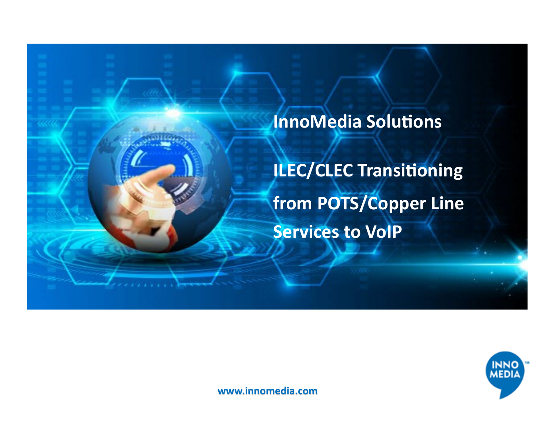

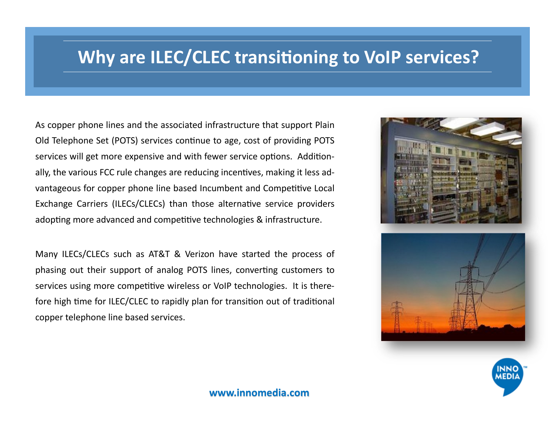## **Why are ILEC/CLEC transitioning to VoIP services?**

As copper phone lines and the associated infrastructure that support Plain Old Telephone Set (POTS) services continue to age, cost of providing POTS services will get more expensive and with fewer service options. Additionally, the various FCC rule changes are reducing incentives, making it less advantageous for copper phone line based Incumbent and Competitive Local Exchange Carriers (ILECs/CLECs) than those alternative service providers adopting more advanced and competitive technologies & infrastructure.

Many ILECs/CLECs such as AT&T & Verizon have started the process of phasing out their support of analog POTS lines, converting customers to services using more competitive wireless or VoIP technologies. It is therefore high time for ILEC/CLEC to rapidly plan for transition out of traditional copper telephone line based services.



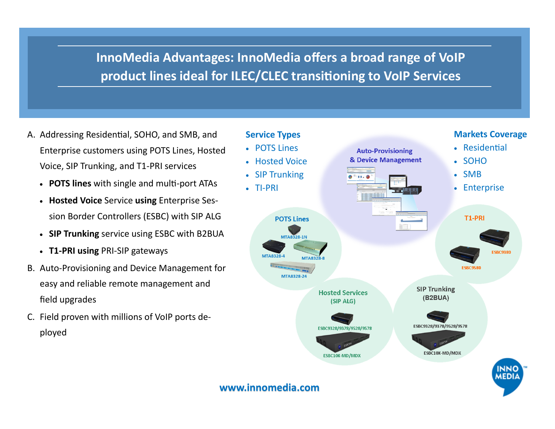**InnoMedia Advantages: InnoMedia offers a broad range of VoIP product lines ideal for ILEC/CLEC transitioning to VoIP Services**

- A. Addressing Residential, SOHO, and SMB, and Enterprise customers using POTS Lines, Hosted Voice, SIP Trunking, and T1-PRI services
	- **POTS lines** with single and multi-port ATAs
	- **Hosted Voice** Service **using** Enterprise Session Border Controllers (ESBC) with SIP ALG
	- **SIP Trunking** service using ESBC with B2BUA
	- **T1-PRI using** PRI-SIP gateways
- B. Auto-Provisioning and Device Management for easy and reliable remote management and field upgrades
- C. Field proven with millions of VoIP ports deployed

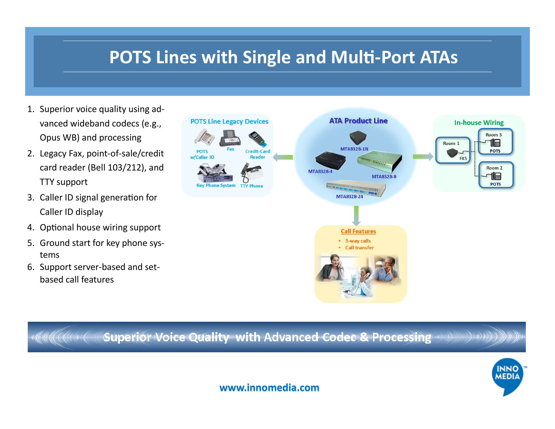## **POTS Lines with Single and Multi-Port ATAs**

- 1. Superior voice quality using advanced wideband codecs (e.g., Opus WB) and processing
- 2. Legacy Fax, point-of-sale/credit card reader (Bell 103/212), and TTY support
- 3. Caller ID signal generation for Caller ID display
- 4. Optional house wiring support
- 5. Ground start for key phone systems
- 6. Support server-based and setbased call features



r@www.com/www.com/windows/windows/with Advanced Codes & Processing www.www.www.